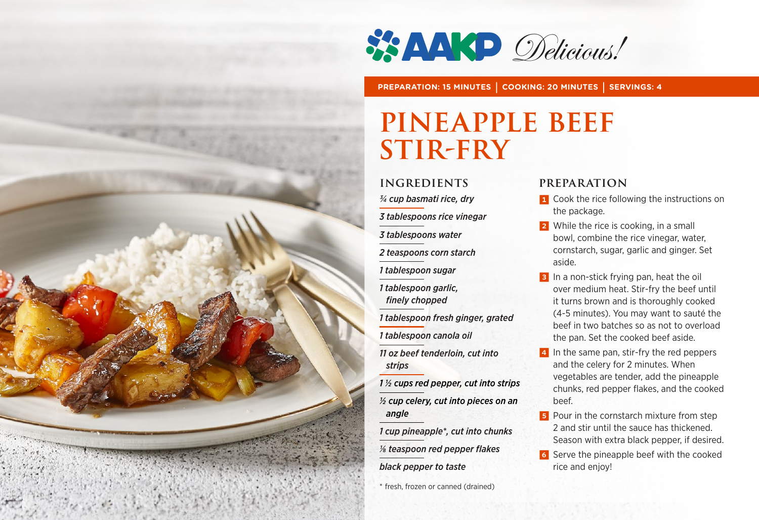

**PREPARATION: 15 MINUTES | COOKING: 20 MINUTES | SERVINGS: 4**

## **PINEAPPLE BEEF Stir-fry**

#### **INGREDIENTS**

*3/4 cup basmati rice, dry*

*3 tablespoons rice vinegar*

*3 tablespoons water*

*2 teaspoons corn starch*

*1 tablespoon sugar*

*1 tablespoon garlic, finely chopped*

*1 tablespoon fresh ginger, grated*

*1 tablespoon canola oil*

*11 oz beef tenderloin, cut into strips*

*1 ½ cups red pepper, cut into strips ½ cup celery, cut into pieces on an angle* 

*1 cup pineapple\*, cut into chunks 1/8 teaspoon red pepper flakes* 

*black pepper to taste*

\* fresh, frozen or canned (drained)

#### **PREPARATION**

- **1** Cook the rice following the instructions on the package.
- **2** While the rice is cooking, in a small bowl, combine the rice vinegar, water, cornstarch, sugar, garlic and ginger. Set aside.
- **3** In a non-stick frying pan, heat the oil over medium heat. Stir-fry the beef until it turns brown and is thoroughly cooked (4-5 minutes). You may want to sauté the beef in two batches so as not to overload the pan. Set the cooked beef aside.
- 4 In the same pan, stir-fry the red peppers and the celery for 2 minutes. When vegetables are tender, add the pineapple chunks, red pepper flakes, and the cooked beef.
- **5** Pour in the cornstarch mixture from step 2 and stir until the sauce has thickened. Season with extra black pepper, if desired.
- 6 Serve the pineapple beef with the cooked rice and enjoy!